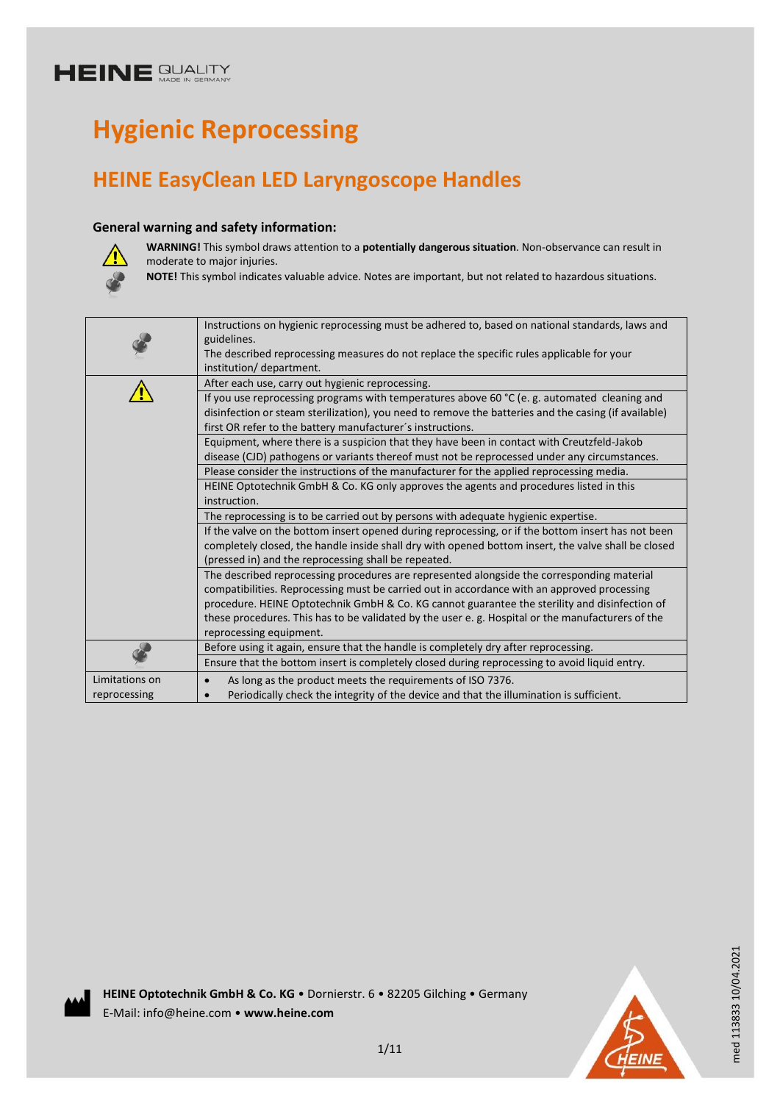# **Hygienic Reprocessing**

## **HEINE EasyClean LED Laryngoscope Handles**

## **General warning and safety information:**



**WARNING!** This symbol draws attention to a **potentially dangerous situation**. Non-observance can result in moderate to major injuries.

**NOTE!** This symbol indicates valuable advice. Notes are important, but not related to hazardous situations.

|                                                                                    | Instructions on hygienic reprocessing must be adhered to, based on national standards, laws and<br>guidelines.<br>The described reprocessing measures do not replace the specific rules applicable for your<br>institution/department.                                                     |  |  |  |  |
|------------------------------------------------------------------------------------|--------------------------------------------------------------------------------------------------------------------------------------------------------------------------------------------------------------------------------------------------------------------------------------------|--|--|--|--|
|                                                                                    | After each use, carry out hygienic reprocessing.                                                                                                                                                                                                                                           |  |  |  |  |
|                                                                                    | If you use reprocessing programs with temperatures above 60 $^{\circ}$ C (e.g. automated cleaning and<br>disinfection or steam sterilization), you need to remove the batteries and the casing (if available)<br>first OR refer to the battery manufacturer's instructions.                |  |  |  |  |
|                                                                                    | Equipment, where there is a suspicion that they have been in contact with Creutzfeld-Jakob                                                                                                                                                                                                 |  |  |  |  |
|                                                                                    | disease (CJD) pathogens or variants thereof must not be reprocessed under any circumstances.                                                                                                                                                                                               |  |  |  |  |
|                                                                                    | Please consider the instructions of the manufacturer for the applied reprocessing media.                                                                                                                                                                                                   |  |  |  |  |
|                                                                                    | HEINE Optotechnik GmbH & Co. KG only approves the agents and procedures listed in this<br>instruction.                                                                                                                                                                                     |  |  |  |  |
| The reprocessing is to be carried out by persons with adequate hygienic expertise. |                                                                                                                                                                                                                                                                                            |  |  |  |  |
|                                                                                    | If the valve on the bottom insert opened during reprocessing, or if the bottom insert has not been                                                                                                                                                                                         |  |  |  |  |
|                                                                                    | completely closed, the handle inside shall dry with opened bottom insert, the valve shall be closed<br>(pressed in) and the reprocessing shall be repeated.                                                                                                                                |  |  |  |  |
|                                                                                    | The described reprocessing procedures are represented alongside the corresponding material<br>compatibilities. Reprocessing must be carried out in accordance with an approved processing<br>procedure. HEINE Optotechnik GmbH & Co. KG cannot guarantee the sterility and disinfection of |  |  |  |  |
|                                                                                    | these procedures. This has to be validated by the user e.g. Hospital or the manufacturers of the<br>reprocessing equipment.                                                                                                                                                                |  |  |  |  |
|                                                                                    | Before using it again, ensure that the handle is completely dry after reprocessing.                                                                                                                                                                                                        |  |  |  |  |
|                                                                                    | Ensure that the bottom insert is completely closed during reprocessing to avoid liquid entry.                                                                                                                                                                                              |  |  |  |  |
| Limitations on                                                                     | As long as the product meets the requirements of ISO 7376.                                                                                                                                                                                                                                 |  |  |  |  |
| reprocessing                                                                       | Periodically check the integrity of the device and that the illumination is sufficient.                                                                                                                                                                                                    |  |  |  |  |

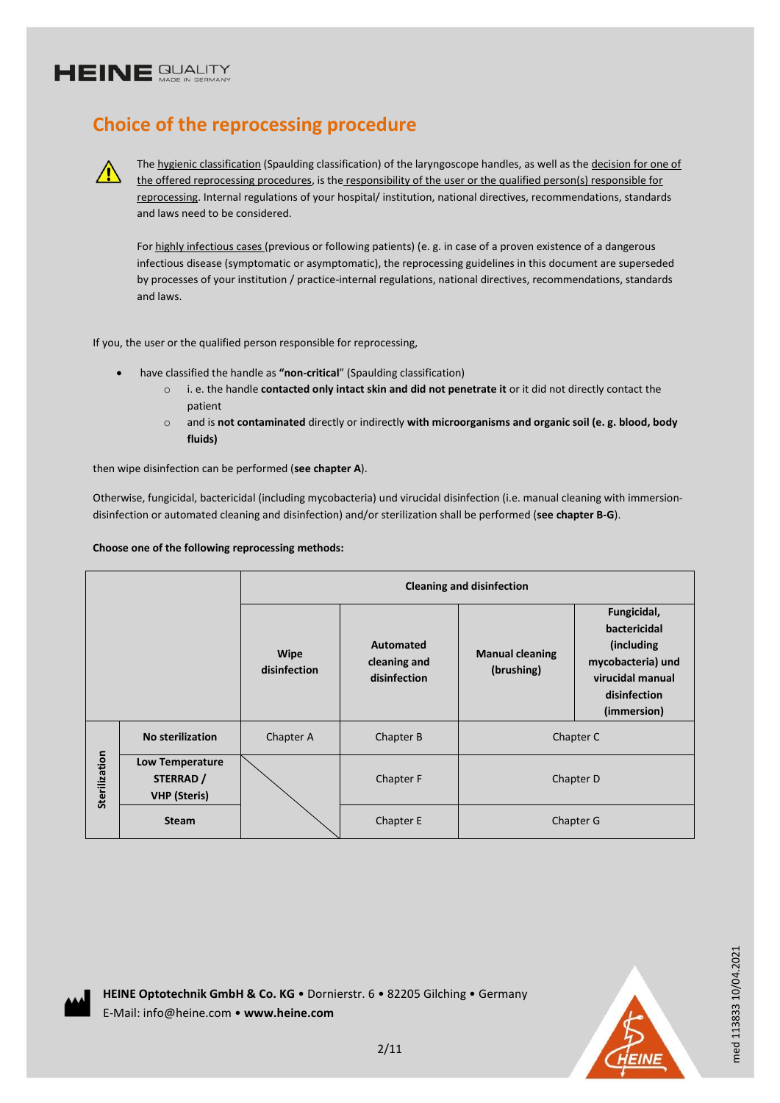$\sqrt{r}$ 

## **Choice of the reprocessing procedure**

The hygienic classification (Spaulding classification) of the laryngoscope handles, as well as the decision for one of the offered reprocessing procedures, is the responsibility of the user or the qualified person(s) responsible for reprocessing. Internal regulations of your hospital/ institution, national directives, recommendations, standards and laws need to be considered.

For highly infectious cases (previous or following patients) (e. g. in case of a proven existence of a dangerous infectious disease (symptomatic or asymptomatic), the reprocessing guidelines in this document are superseded by processes of your institution / practice-internal regulations, national directives, recommendations, standards and laws.

If you, the user or the qualified person responsible for reprocessing,

- have classified the handle as **"non-critical**" (Spaulding classification)
	- o i. e. the handle **contacted only intact skin and did not penetrate it** or it did not directly contact the patient
	- o and is **not contaminated** directly or indirectly **with microorganisms and organic soil (e. g. blood, body fluids)**

then wipe disinfection can be performed (**see chapter A**).

Otherwise, fungicidal, bactericidal (including mycobacteria) und virucidal disinfection (i.e. manual cleaning with immersiondisinfection or automated cleaning and disinfection) and/or sterilization shall be performed (**see chapter B-G**).

### **Choose one of the following reprocessing methods:**

|               |                                                            | <b>Cleaning and disinfection</b> |                                           |                                      |                                                                                                                    |
|---------------|------------------------------------------------------------|----------------------------------|-------------------------------------------|--------------------------------------|--------------------------------------------------------------------------------------------------------------------|
|               |                                                            | Wipe<br>disinfection             | Automated<br>cleaning and<br>disinfection | <b>Manual cleaning</b><br>(brushing) | Fungicidal,<br>bactericidal<br>(including)<br>mycobacteria) und<br>virucidal manual<br>disinfection<br>(immersion) |
| Sterilization | <b>No sterilization</b>                                    | Chapter A                        | Chapter B                                 | Chapter C                            |                                                                                                                    |
|               | <b>Low Temperature</b><br>STERRAD /<br><b>VHP</b> (Steris) |                                  | Chapter F                                 | Chapter D                            |                                                                                                                    |
|               | <b>Steam</b>                                               |                                  | Chapter E                                 | Chapter G                            |                                                                                                                    |





med 113833 10/04.2021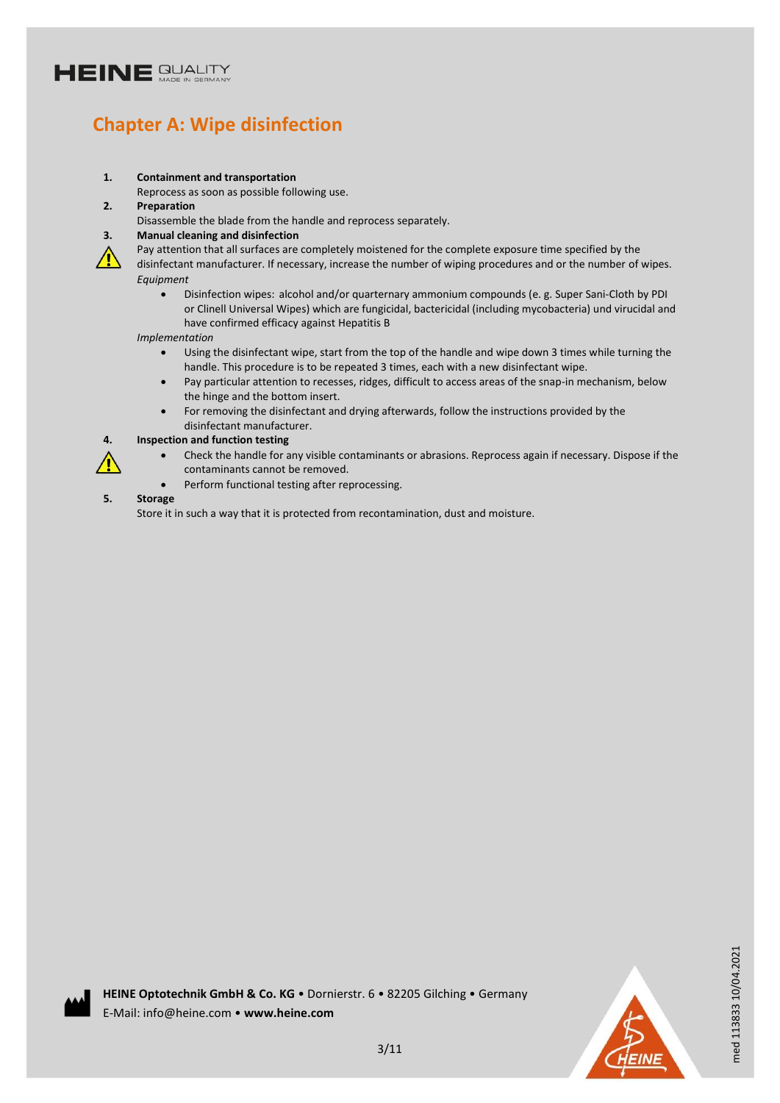## **Chapter A: Wipe disinfection**

#### **1. Containment and transportation**

Reprocess as soon as possible following use.

- **2. Preparation**
	- Disassemble the blade from the handle and reprocess separately.

#### **3. Manual cleaning and disinfection**

 $\mathcal{L}$ 

Pay attention that all surfaces are completely moistened for the complete exposure time specified by the disinfectant manufacturer. If necessary, increase the number of wiping procedures and or the number of wipes. *Equipment*

 Disinfection wipes: alcohol and/or quarternary ammonium compounds (e. g. Super Sani-Cloth by PDI or Clinell Universal Wipes) which are fungicidal, bactericidal (including mycobacteria) und virucidal and have confirmed efficacy against Hepatitis B

*Implementation*

- Using the disinfectant wipe, start from the top of the handle and wipe down 3 times while turning the handle. This procedure is to be repeated 3 times, each with a new disinfectant wipe.
- Pay particular attention to recesses, ridges, difficult to access areas of the snap-in mechanism, below the hinge and the bottom insert.
- For removing the disinfectant and drying afterwards, follow the instructions provided by the disinfectant manufacturer.

#### **4. Inspection and function testing**

- Check the handle for any visible contaminants or abrasions. Reprocess again if necessary. Dispose if the contaminants cannot be removed.
- Perform functional testing after reprocessing.

### **5. Storage**

Store it in such a way that it is protected from recontamination, dust and moisture.

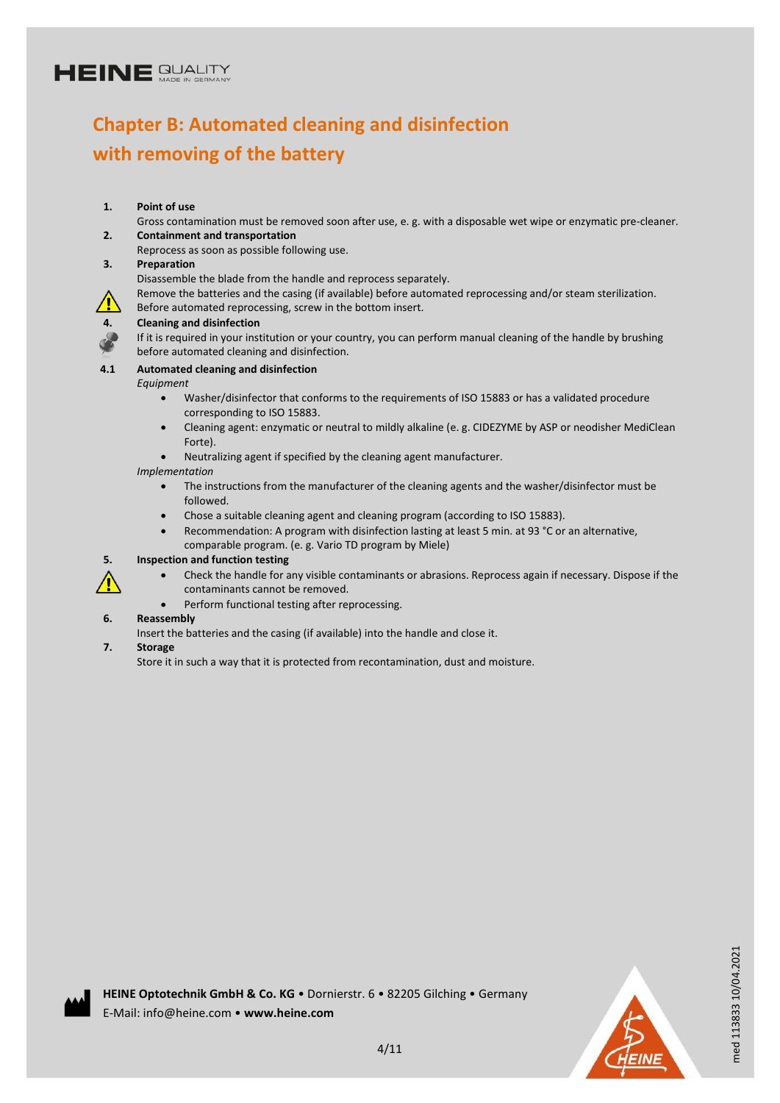## **Chapter B: Automated cleaning and disinfection with removing of the battery**

### **1. Point of use**

Gross contamination must be removed soon after use, e. g. with a disposable wet wipe or enzymatic pre-cleaner. **2. Containment and transportation**

Reprocess as soon as possible following use.

### **3. Preparation**

Disassemble the blade from the handle and reprocess separately.

Remove the batteries and the casing (if available) before automated reprocessing and/or steam sterilization.

Before automated reprocessing, screw in the bottom insert.



### **4. Cleaning and disinfection**

If it is required in your institution or your country, you can perform manual cleaning of the handle by brushing before automated cleaning and disinfection.

### **4.1 Automated cleaning and disinfection**

*Equipment*

- Washer/disinfector that conforms to the requirements of ISO 15883 or has a validated procedure corresponding to ISO 15883.
- Cleaning agent: enzymatic or neutral to mildly alkaline (e. g. CIDEZYME by ASP or neodisher MediClean Forte).
- Neutralizing agent if specified by the cleaning agent manufacturer.

*Implementation*

- The instructions from the manufacturer of the cleaning agents and the washer/disinfector must be followed.
- Chose a suitable cleaning agent and cleaning program (according to ISO 15883).
- Recommendation: A program with disinfection lasting at least 5 min. at 93 °C or an alternative, comparable program. (e. g. Vario TD program by Miele)

### **5. Inspection and function testing**

- Check the handle for any visible contaminants or abrasions. Reprocess again if necessary. Dispose if the contaminants cannot be removed.
- Perform functional testing after reprocessing.

### **6. Reassembly**

Insert the batteries and the casing (if available) into the handle and close it.

### **7. Storage**

/<u>I</u>

Store it in such a way that it is protected from recontamination, dust and moisture.



med 113833 10/04.2021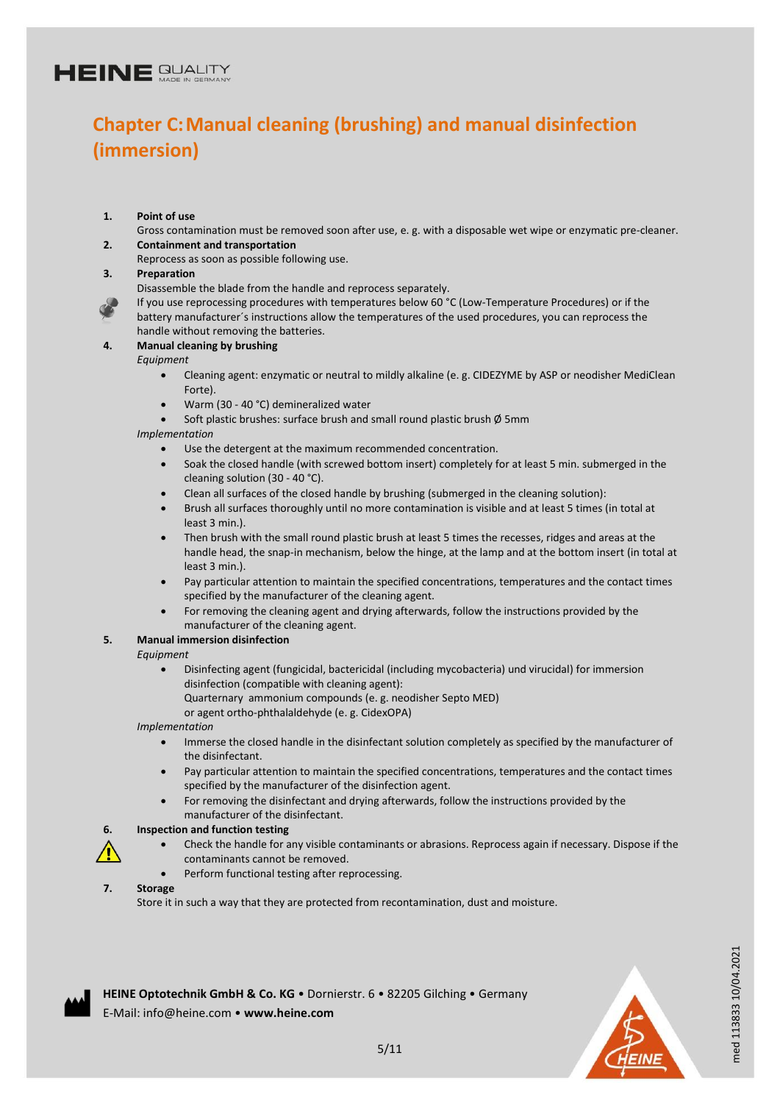## **Chapter C:Manual cleaning (brushing) and manual disinfection (immersion)**

- **1. Point of use**
- Gross contamination must be removed soon after use, e. g. with a disposable wet wipe or enzymatic pre-cleaner. **2. Containment and transportation**
	- Reprocess as soon as possible following use.
- **3. Preparation**

Disassemble the blade from the handle and reprocess separately.

If you use reprocessing procedures with temperatures below 60 °C (Low-Temperature Procedures) or if the battery manufacturer´s instructions allow the temperatures of the used procedures, you can reprocess the handle without removing the batteries.

- **4. Manual cleaning by brushing**
	- *Equipment*
		- Cleaning agent: enzymatic or neutral to mildly alkaline (e. g. CIDEZYME by ASP or neodisher MediClean Forte).
		- Warm (30 40 °C) demineralized water
		- Soft plastic brushes: surface brush and small round plastic brush Ø 5mm

*Implementation*

- Use the detergent at the maximum recommended concentration.
- Soak the closed handle (with screwed bottom insert) completely for at least 5 min. submerged in the cleaning solution (30 - 40 °C).
- Clean all surfaces of the closed handle by brushing (submerged in the cleaning solution):
- Brush all surfaces thoroughly until no more contamination is visible and at least 5 times (in total at least 3 min.).
- Then brush with the small round plastic brush at least 5 times the recesses, ridges and areas at the handle head, the snap-in mechanism, below the hinge, at the lamp and at the bottom insert (in total at least 3 min.).
- Pay particular attention to maintain the specified concentrations, temperatures and the contact times specified by the manufacturer of the cleaning agent.
- For removing the cleaning agent and drying afterwards, follow the instructions provided by the manufacturer of the cleaning agent.

### **5. Manual immersion disinfection**

- *Equipment*
	- Disinfecting agent (fungicidal, bactericidal (including mycobacteria) und virucidal) for immersion disinfection (compatible with cleaning agent): Quarternary ammonium compounds (e. g. neodisher Septo MED)
		- or agent ortho-phthalaldehyde (e. g. CidexOPA)

*Implementation*

- Immerse the closed handle in the disinfectant solution completely as specified by the manufacturer of the disinfectant.
- Pay particular attention to maintain the specified concentrations, temperatures and the contact times specified by the manufacturer of the disinfection agent.
- For removing the disinfectant and drying afterwards, follow the instructions provided by the manufacturer of the disinfectant.

#### **6. Inspection and function testing**

- Check the handle for any visible contaminants or abrasions. Reprocess again if necessary. Dispose if the contaminants cannot be removed.
	- Perform functional testing after reprocessing.

#### **7. Storage**

Store it in such a way that they are protected from recontamination, dust and moisture.



med 113833 10/04.2021

med 113833 10/04.2021

**HEINE Optotechnik GmbH & Co. KG** • Dornierstr. 6 • 82205 Gilching • Germany E-Mail: info@heine.com • **www.heine.com**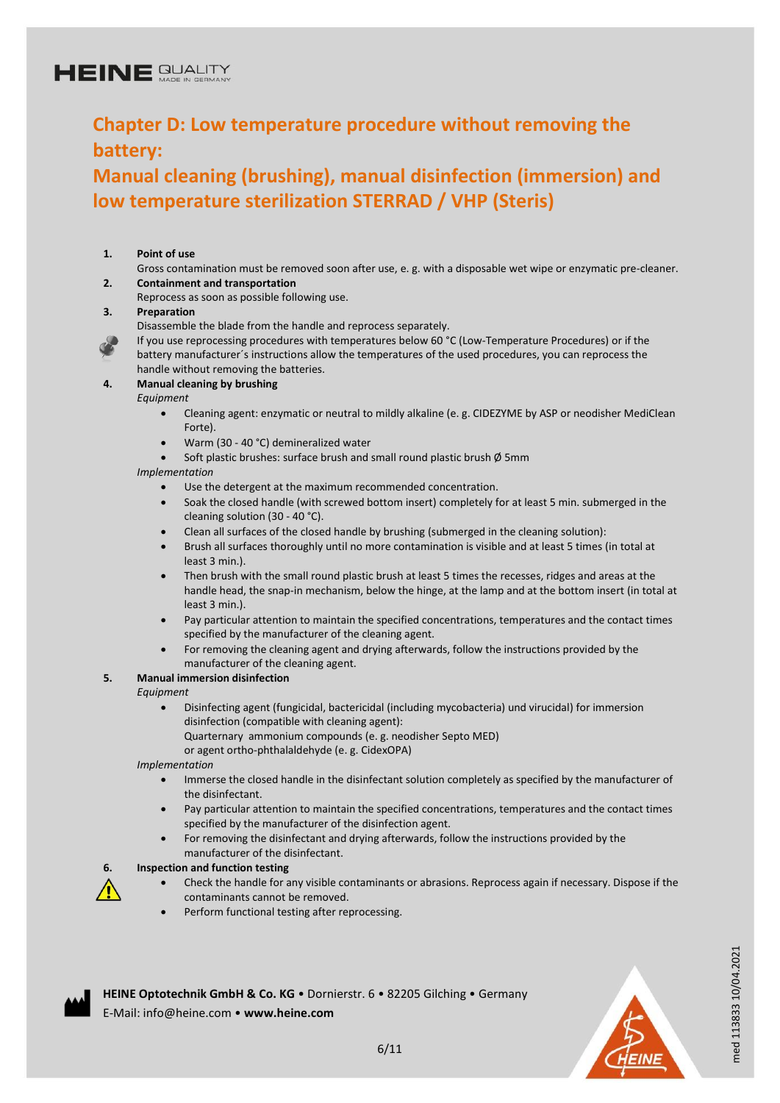## **Chapter D: Low temperature procedure without removing the battery:**

## **Manual cleaning (brushing), manual disinfection (immersion) and low temperature sterilization STERRAD / VHP (Steris)**

### **1. Point of use**

- Gross contamination must be removed soon after use, e. g. with a disposable wet wipe or enzymatic pre-cleaner. **2. Containment and transportation**
- Reprocess as soon as possible following use.

#### **3. Preparation**

- Disassemble the blade from the handle and reprocess separately.
- If you use reprocessing procedures with temperatures below 60 °C (Low-Temperature Procedures) or if the battery manufacturer´s instructions allow the temperatures of the used procedures, you can reprocess the handle without removing the batteries.

#### **4. Manual cleaning by brushing**

#### *Equipment*

- Cleaning agent: enzymatic or neutral to mildly alkaline (e. g. CIDEZYME by ASP or neodisher MediClean Forte).
- Warm (30 40 °C) demineralized water
- Soft plastic brushes: surface brush and small round plastic brush Ø 5mm

#### *Implementation*

- Use the detergent at the maximum recommended concentration.
- Soak the closed handle (with screwed bottom insert) completely for at least 5 min. submerged in the cleaning solution (30 - 40 °C).
- Clean all surfaces of the closed handle by brushing (submerged in the cleaning solution):
- Brush all surfaces thoroughly until no more contamination is visible and at least 5 times (in total at least 3 min.).
- Then brush with the small round plastic brush at least 5 times the recesses, ridges and areas at the handle head, the snap-in mechanism, below the hinge, at the lamp and at the bottom insert (in total at least 3 min.).
- Pay particular attention to maintain the specified concentrations, temperatures and the contact times specified by the manufacturer of the cleaning agent.
- For removing the cleaning agent and drying afterwards, follow the instructions provided by the manufacturer of the cleaning agent.

### **5. Manual immersion disinfection**

#### *Equipment*

/<u>I</u>

- Disinfecting agent (fungicidal, bactericidal (including mycobacteria) und virucidal) for immersion disinfection (compatible with cleaning agent): Quarternary ammonium compounds (e. g. neodisher Septo MED)
	- or agent ortho-phthalaldehyde (e. g. CidexOPA)

*Implementation*

- Immerse the closed handle in the disinfectant solution completely as specified by the manufacturer of the disinfectant.
- Pay particular attention to maintain the specified concentrations, temperatures and the contact times specified by the manufacturer of the disinfection agent.
- For removing the disinfectant and drying afterwards, follow the instructions provided by the manufacturer of the disinfectant.

### **6. Inspection and function testing**

- Check the handle for any visible contaminants or abrasions. Reprocess again if necessary. Dispose if the contaminants cannot be removed.
- Perform functional testing after reprocessing.



med 113833 10/04.2021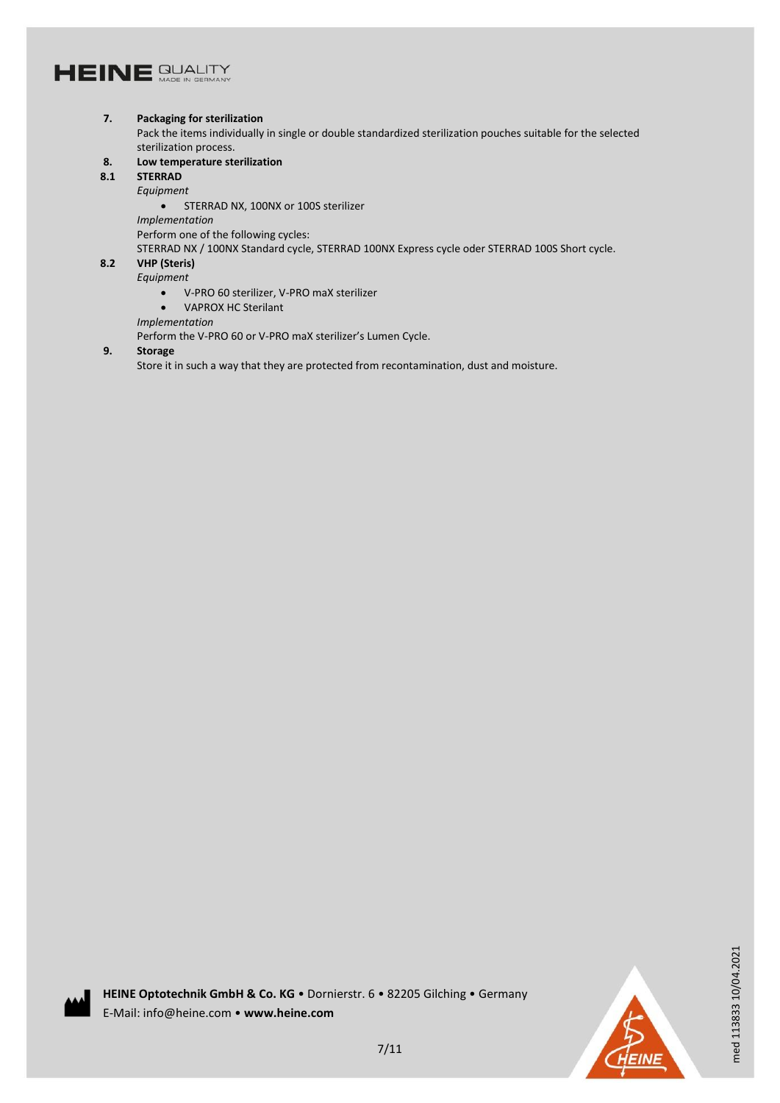#### **7. Packaging for sterilization**

Pack the items individually in single or double standardized sterilization pouches suitable for the selected sterilization process.

- **8. Low temperature sterilization**
- **8.1 STERRAD**

*Equipment*

**STERRAD NX, 100NX or 100S sterilizer** 

*Implementation*

Perform one of the following cycles:

STERRAD NX / 100NX Standard cycle, STERRAD 100NX Express cycle oder STERRAD 100S Short cycle.

### **8.2 VHP (Steris)**

*Equipment*

- V-PRO 60 sterilizer, V-PRO maX sterilizer
- VAPROX HC Sterilant

*Implementation*

Perform the V-PRO 60 or V-PRO maX sterilizer's Lumen Cycle.

### **9. Storage**

Store it in such a way that they are protected from recontamination, dust and moisture.



med 113833 10/04.2021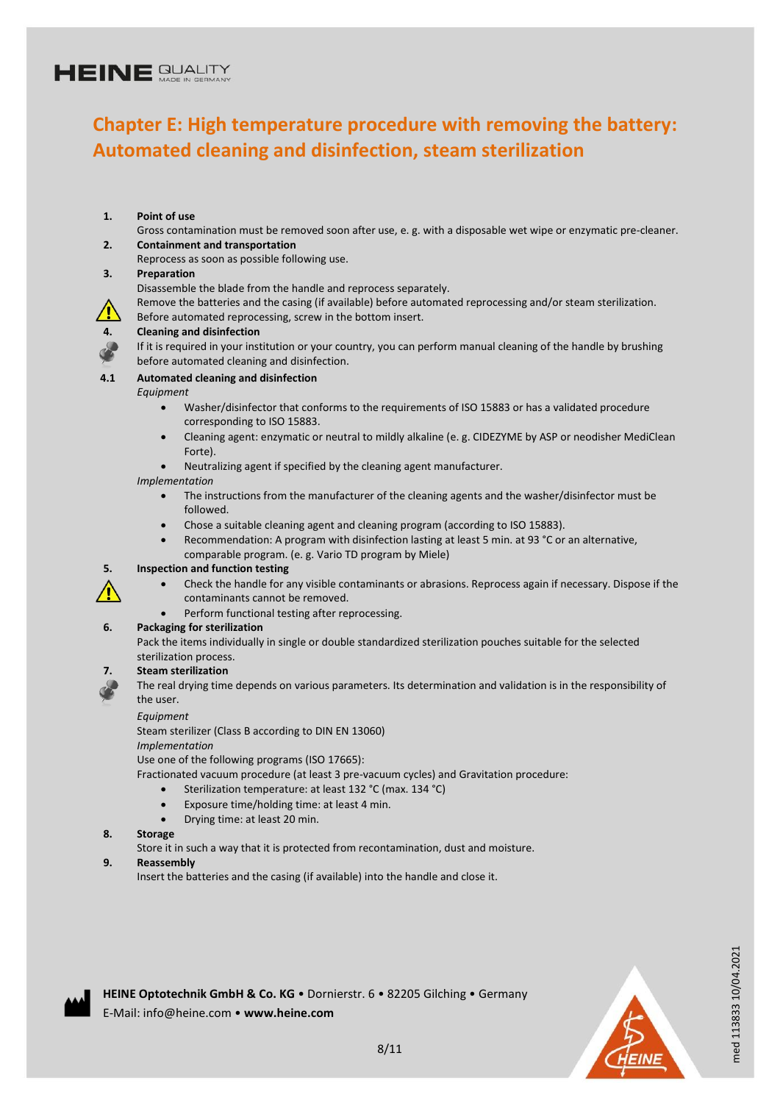## **Chapter E: High temperature procedure with removing the battery: Automated cleaning and disinfection, steam sterilization**

### **1. Point of use**

Gross contamination must be removed soon after use, e. g. with a disposable wet wipe or enzymatic pre-cleaner. **2. Containment and transportation**

Reprocess as soon as possible following use.

#### **3. Preparation**

Disassemble the blade from the handle and reprocess separately.

Remove the batteries and the casing (if available) before automated reprocessing and/or steam sterilization.

Before automated reprocessing, screw in the bottom insert.

#### **4. Cleaning and disinfection**

If it is required in your institution or your country, you can perform manual cleaning of the handle by brushing before automated cleaning and disinfection.

### **4.1 Automated cleaning and disinfection**

*Equipment*

- Washer/disinfector that conforms to the requirements of ISO 15883 or has a validated procedure corresponding to ISO 15883.
- Cleaning agent: enzymatic or neutral to mildly alkaline (e. g. CIDEZYME by ASP or neodisher MediClean Forte).
- Neutralizing agent if specified by the cleaning agent manufacturer.

#### *Implementation*

- The instructions from the manufacturer of the cleaning agents and the washer/disinfector must be followed.
- Chose a suitable cleaning agent and cleaning program (according to ISO 15883).
- Recommendation: A program with disinfection lasting at least 5 min. at 93 °C or an alternative, comparable program. (e. g. Vario TD program by Miele)

### **5. Inspection and function testing**

- Check the handle for any visible contaminants or abrasions. Reprocess again if necessary. Dispose if the contaminants cannot be removed.
- Perform functional testing after reprocessing.

### **6. Packaging for sterilization**

Pack the items individually in single or double standardized sterilization pouches suitable for the selected sterilization process.

### **7. Steam sterilization**

The real drying time depends on various parameters. Its determination and validation is in the responsibility of the user.

#### *Equipment*

Steam sterilizer (Class B according to DIN EN 13060)

*Implementation*

Use one of the following programs (ISO 17665):

Fractionated vacuum procedure (at least 3 pre-vacuum cycles) and Gravitation procedure:

- Sterilization temperature: at least 132 °C (max. 134 °C)
- Exposure time/holding time: at least 4 min.
- Drying time: at least 20 min.

### **8. Storage**

Store it in such a way that it is protected from recontamination, dust and moisture.

#### **9. Reassembly**

Insert the batteries and the casing (if available) into the handle and close it.



med 113833 10/04.2021

med 113833 10/04.2021

**HEINE Optotechnik GmbH & Co. KG** • Dornierstr. 6 • 82205 Gilching • Germany E-Mail: info@heine.com • **www.heine.com**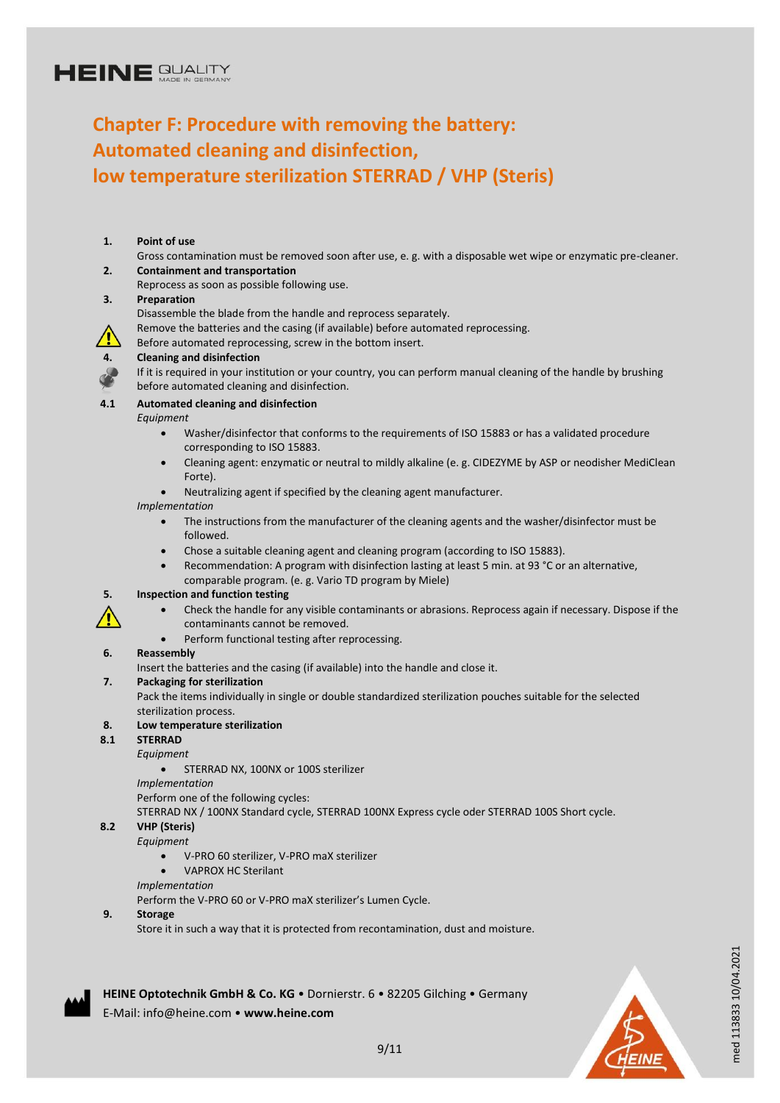## **Chapter F: Procedure with removing the battery: Automated cleaning and disinfection, low temperature sterilization STERRAD / VHP (Steris)**

#### **1. Point of use** Gross contamination must be removed soon after use, e. g. with a disposable wet wipe or enzymatic pre-cleaner. **2. Containment and transportation** Reprocess as soon as possible following use. **3. Preparation** Disassemble the blade from the handle and reprocess separately. Remove the batteries and the casing (if available) before automated reprocessing. Before automated reprocessing, screw in the bottom insert. **4. Cleaning and disinfection** If it is required in your institution or your country, you can perform manual cleaning of the handle by brushing before automated cleaning and disinfection. **4.1 Automated cleaning and disinfection** *Equipment* Washer/disinfector that conforms to the requirements of ISO 15883 or has a validated procedure corresponding to ISO 15883. Cleaning agent: enzymatic or neutral to mildly alkaline (e. g. CIDEZYME by ASP or neodisher MediClean Forte). Neutralizing agent if specified by the cleaning agent manufacturer. *Implementation* The instructions from the manufacturer of the cleaning agents and the washer/disinfector must be followed. Chose a suitable cleaning agent and cleaning program (according to ISO 15883). Recommendation: A program with disinfection lasting at least 5 min. at 93 °C or an alternative, comparable program. (e. g. Vario TD program by Miele) **5. Inspection and function testing** Check the handle for any visible contaminants or abrasions. Reprocess again if necessary. Dispose if the contaminants cannot be removed. • Perform functional testing after reprocessing. **6. Reassembly** Insert the batteries and the casing (if available) into the handle and close it. **7. Packaging for sterilization** Pack the items individually in single or double standardized sterilization pouches suitable for the selected sterilization process. **8. Low temperature sterilization 8.1 STERRAD** *Equipment*

- **STERRAD NX, 100NX or 100S sterilizer**
- *Implementation*

Perform one of the following cycles:

STERRAD NX / 100NX Standard cycle, STERRAD 100NX Express cycle oder STERRAD 100S Short cycle.

#### **8.2 VHP (Steris)**

#### *Equipment*

- V-PRO 60 sterilizer, V-PRO maX sterilizer
- VAPROX HC Sterilant

#### *Implementation*

Perform the V-PRO 60 or V-PRO maX sterilizer's Lumen Cycle.

#### **9. Storage**

Store it in such a way that it is protected from recontamination, dust and moisture.

**HEINE Optotechnik GmbH & Co. KG** • Dornierstr. 6 • 82205 Gilching • Germany E-Mail: info@heine.com • **www.heine.com**



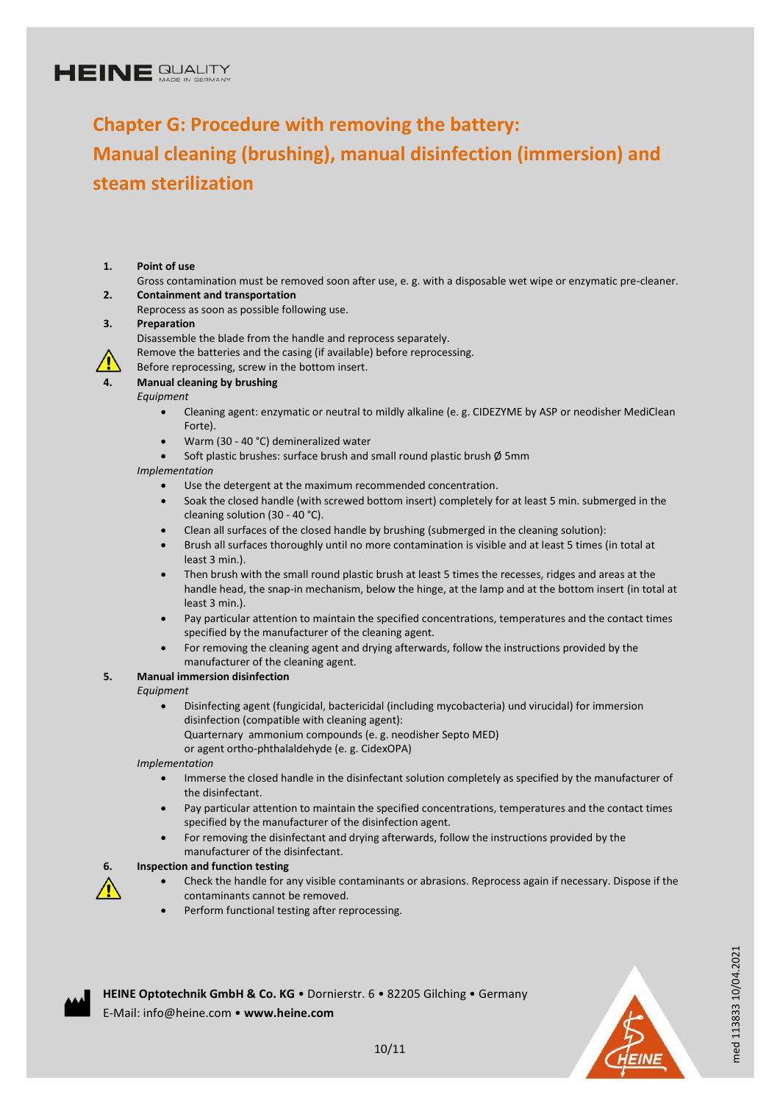## **Chapter G: Procedure with removing the battery: Manual cleaning (brushing), manual disinfection (immersion) and steam sterilization**

- **1. Point of use**
- Gross contamination must be removed soon after use, e. g. with a disposable wet wipe or enzymatic pre-cleaner. **2. Containment and transportation**
	- Reprocess as soon as possible following use.

#### **3. Preparation**

- Disassemble the blade from the handle and reprocess separately.
- Remove the batteries and the casing (if available) before reprocessing.
- Before reprocessing, screw in the bottom insert.

## **4. Manual cleaning by brushing**

*Equipment*

- Cleaning agent: enzymatic or neutral to mildly alkaline (e. g. CIDEZYME by ASP or neodisher MediClean Forte).
- Warm (30 40 °C) demineralized water
- Soft plastic brushes: surface brush and small round plastic brush Ø 5mm

*Implementation*

- Use the detergent at the maximum recommended concentration.
- Soak the closed handle (with screwed bottom insert) completely for at least 5 min. submerged in the cleaning solution (30 - 40 °C).
- Clean all surfaces of the closed handle by brushing (submerged in the cleaning solution):
- Brush all surfaces thoroughly until no more contamination is visible and at least 5 times (in total at least 3 min.).
- Then brush with the small round plastic brush at least 5 times the recesses, ridges and areas at the handle head, the snap-in mechanism, below the hinge, at the lamp and at the bottom insert (in total at least 3 min.).
- Pay particular attention to maintain the specified concentrations, temperatures and the contact times specified by the manufacturer of the cleaning agent.
- For removing the cleaning agent and drying afterwards, follow the instructions provided by the manufacturer of the cleaning agent.

### **5. Manual immersion disinfection**

*Equipment*

/<u>I</u>

- Disinfecting agent (fungicidal, bactericidal (including mycobacteria) und virucidal) for immersion disinfection (compatible with cleaning agent):
- Quarternary ammonium compounds (e. g. neodisher Septo MED) or agent ortho-phthalaldehyde (e. g. CidexOPA)

*Implementation*

- Immerse the closed handle in the disinfectant solution completely as specified by the manufacturer of the disinfectant.
- Pay particular attention to maintain the specified concentrations, temperatures and the contact times specified by the manufacturer of the disinfection agent.
- For removing the disinfectant and drying afterwards, follow the instructions provided by the manufacturer of the disinfectant.

#### **6. Inspection and function testing**

- Check the handle for any visible contaminants or abrasions. Reprocess again if necessary. Dispose if the contaminants cannot be removed.
- Perform functional testing after reprocessing.



med 113833 10/04.2021